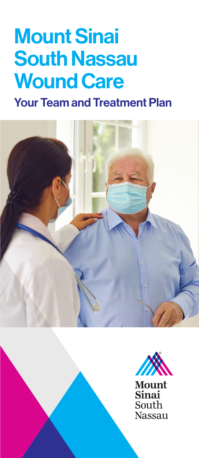## Mount Sinai South Nassau Wound Care

Your Team and Treatment Plan







**Mount Sinai** South **Nassau**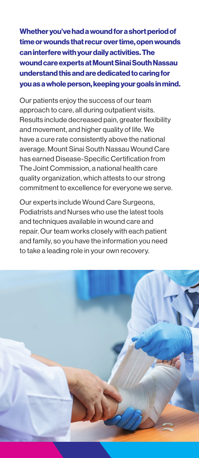Whether you've had a wound for a short period of time or wounds that recur over time, open wounds can interfere with your daily activities. The wound care experts at Mount Sinai South Nassau understand this and are dedicated to caring for you as a whole person, keeping your goals in mind.

Our patients enjoy the success of our team approach to care, all during outpatient visits. Results include decreased pain, greater flexibility and movement, and higher quality of life. We have a cure rate consistently above the national average. Mount Sinai South Nassau Wound Care has earned Disease-Specific Certification from The Joint Commission, a national health care quality organization, which attests to our strong commitment to excellence for everyone we serve.

Our experts include Wound Care Surgeons, Podiatrists and Nurses who use the latest tools and techniques available in wound care and repair. Our team works closely with each patient and family, so you have the information you need to take a leading role in your own recovery.

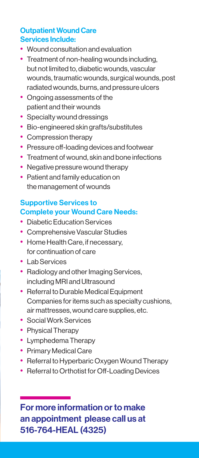## Outpatient Wound Care Services Include:

- Wound consultation and evaluation
- Treatment of non-healing wounds including. but not limited to, diabetic wounds, vascular wounds, traumatic wounds, surgical wounds, post radiated wounds, burns, and pressure ulcers
- Ongoing assessments of the patient and their wounds
- Specialty wound dressings
- Bio-engineered skin grafts/substitutes
- Compression therapy
- Pressure off-loading devices and footwear
- Treatment of wound, skin and bone infections
- Negative pressure wound therapy
- Patient and family education on the management of wounds

## Supportive Services to Complete your Wound Care Needs:

- Diabetic Education Services
- Comprehensive Vascular Studies
- Home Health Care, if necessary, for continuation of care
- Lab Services
- Radiology and other Imaging Services, including MRI and Ultrasound
- Referral to Durable Medical Equipment Companies for items such as specialty cushions, air mattresses, wound care supplies, etc.
- Social Work Services
- Physical Therapy
- Lymphedema Therapy
- Primary Medical Care
- Referral to Hyperbaric Oxygen Wound Therapy
- Referral to Orthotist for Off-Loading Devices

For more information or to make an appointment please call us at 516-764-HEAL (4325)